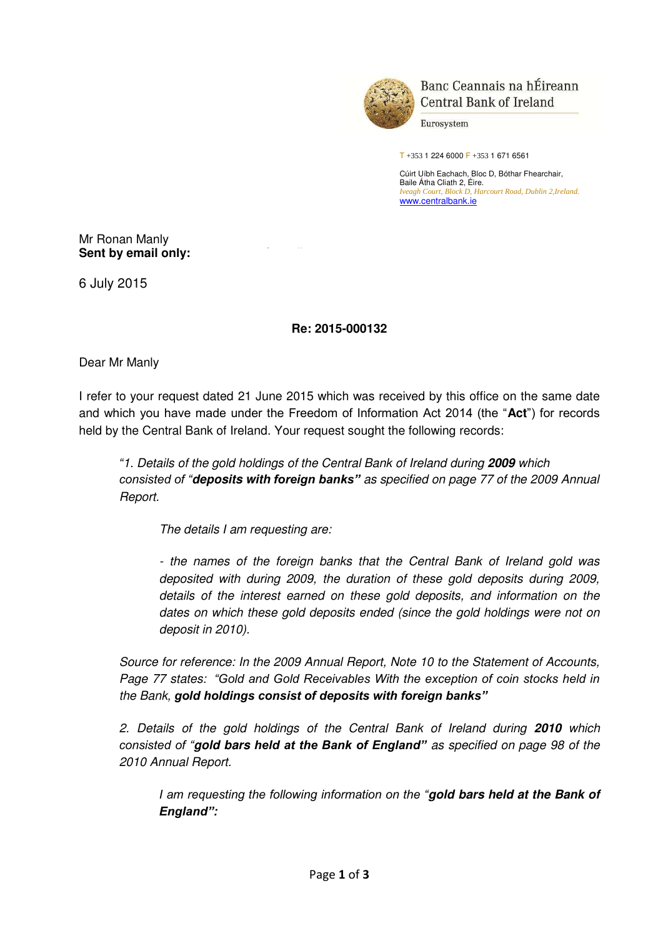

Banc Ceannais na hÉireann **Central Bank of Ireland** 

Eurosystem

T +353 1 224 6000 F +353 1 671 6561

Cúirt Uíbh Eachach, Bloc D, Bóthar Fhearchair, Baile Átha Cliath 2, Éire. *Iveagh Court, Block D, Harcourt Road, Dublin 2,Ireland.*  [www.centralbank.ie](�� h t t p : / / w w w . c e n t r a l b a n k . i e /) 

## Mr Ronan Manly **Sent by email only:**

6 July 2015

## **Re: 2015-000132**

Dear Mr Manly

I refer to your request dated 21 June 2015 which was received by this office on the same date and which you have made under the Freedom of Information Act 2014 (the "**Act**") for records held by the Central Bank of Ireland. Your request sought the following records:

*"1. Details of the gold holdings of the Central Bank of Ireland during 2009 which consisted of "deposits with foreign banks" as specified on page 77 of the 2009 Annual Report.* 

*The details I am requesting are:* 

*- the names of the foreign banks that the Central Bank of Ireland gold was deposited with during 2009, the duration of these gold deposits during 2009, details of the interest earned on these gold deposits, and information on the dates on which these gold deposits ended (since the gold holdings were not on deposit in 2010).* 

*Source for reference: In the 2009 Annual Report, Note 10 to the Statement of Accounts, Page 77 states: "Gold and Gold Receivables With the exception of coin stocks held in the Bank, gold holdings consist of deposits with foreign banks"*

*2. Details of the gold holdings of the Central Bank of Ireland during 2010 which consisted of "gold bars held at the Bank of England" as specified on page 98 of the 2010 Annual Report.* 

*I am requesting the following information on the "gold bars held at the Bank of England":*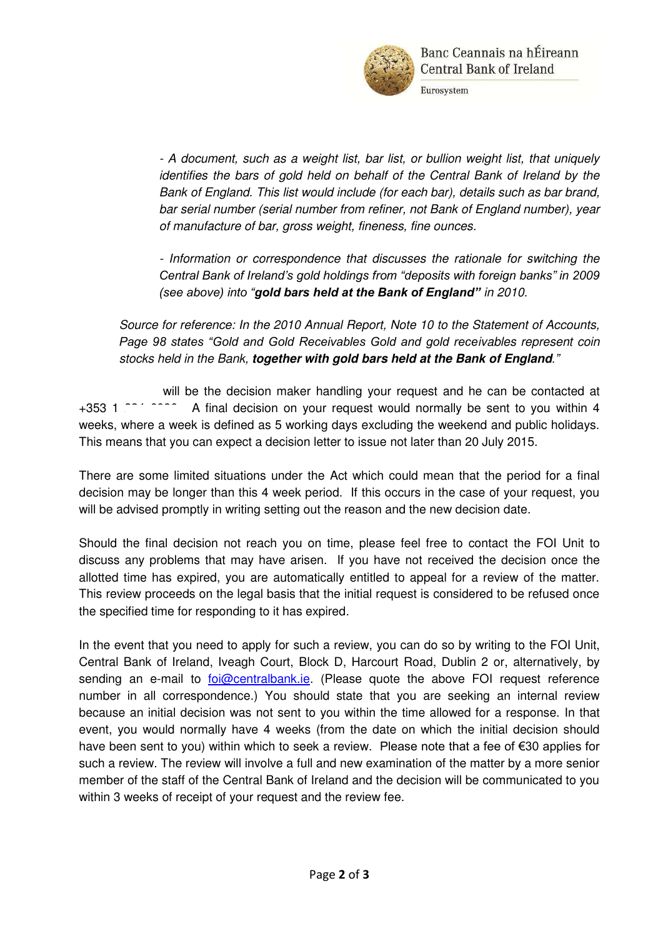

Eurosystem

*- A document, such as a weight list, bar list, or bullion weight list, that uniquely identifies the bars of gold held on behalf of the Central Bank of Ireland by the Bank of England. This list would include (for each bar), details such as bar brand, bar serial number (serial number from refiner, not Bank of England number), year of manufacture of bar, gross weight, fineness, fine ounces.* 

*- Information or correspondence that discusses the rationale for switching the Central Bank of Ireland's gold holdings from "deposits with foreign banks" in 2009 (see above) into "gold bars held at the Bank of England" in 2010.* 

*Source for reference: In the 2010 Annual Report, Note 10 to the Statement of Accounts, Page 98 states "Gold and Gold Receivables Gold and gold receivables represent coin stocks held in the Bank, together with gold bars held at the Bank of England."*

will be the decision maker handling your request and he can be contacted at +353 1 2004 6096. A final decision on your request would normally be sent to you within 4 weeks, where a week is defined as 5 working days excluding the weekend and public holidays. This means that you can expect a decision letter to issue not later than 20 July 2015.

There are some limited situations under the Act which could mean that the period for a final decision may be longer than this 4 week period. If this occurs in the case of your request, you will be advised promptly in writing setting out the reason and the new decision date.

Should the final decision not reach you on time, please feel free to contact the FOI Unit to discuss any problems that may have arisen. If you have not received the decision once the allotted time has expired, you are automatically entitled to appeal for a review of the matter. This review proceeds on the legal basis that the initial request is considered to be refused once the specified time for responding to it has expired.

In the event that you need to apply for such a review, you can do so by writing to the FOI Unit, Central Bank of Ireland, Iveagh Court, Block D, Harcourt Road, Dublin 2 or, alternatively, by sending an e-mail to [foi@centralbank.ie.](�� m a i l t o : f o i @ c e n t r a l b a n k . i e) (Please quote the above FOI request reference number in all correspondence.) You should state that you are seeking an internal review because an initial decision was not sent to you within the time allowed for a response. In that event, you would normally have 4 weeks (from the date on which the initial decision should have been sent to you) within which to seek a review. Please note that a fee of €30 applies for such a review. The review will involve a full and new examination of the matter by a more senior member of the staff of the Central Bank of Ireland and the decision will be communicated to you within 3 weeks of receipt of your request and the review fee.